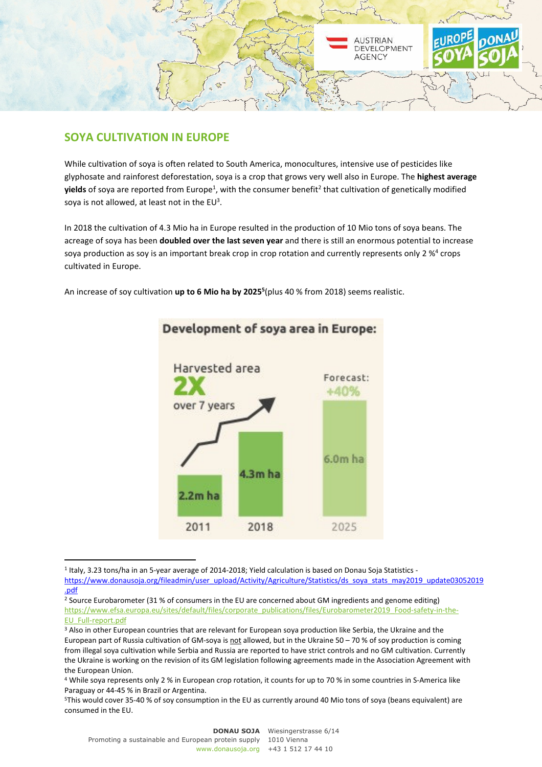

## **SOYA CULTIVATION IN EUROPE**

While cultivation of soya is often related to South America, monocultures, intensive use of pesticides like glyphosate and rainforest deforestation, soya is a crop that grows very well also in Europe. The **highest average yields** of soya are reported from Europe<sup>1</sup>, with the consumer benefit<sup>2</sup> that cultivation of genetically modified soya is not allowed, at least not in the  $EU^3$ .

In 2018 the cultivation of 4.3 Mio ha in Europe resulted in the production of 10 Mio tons of soya beans. The acreage of soya has been **doubled over the last seven year** and there is still an enormous potential to increase soya production as soy is an important break crop in crop rotation and currently represents only 2  $\%$ <sup>4</sup> crops cultivated in Europe.

An increase of soy cultivation **up to 6 Mio ha by 2025<sup>5</sup>** (plus 40 % from 2018) seems realistic.



## Development of soya area in Europe:

<sup>&</sup>lt;sup>1</sup> Italy, 3.23 tons/ha in an 5-year average of 2014-2018; Yield calculation is based on Donau Soja Statistics https://www.donausoja.org/fileadmin/user\_upload/Activity/Agriculture/Statistics/ds\_soya\_stats\_may2019\_update03052019 .pdf

<sup>&</sup>lt;sup>2</sup> Source Eurobarometer (31 % of consumers in the EU are concerned about GM ingredients and genome editing) https://www.efsa.europa.eu/sites/default/files/corporate\_publications/files/Eurobarometer2019\_Food-safety-in-the-EU\_Full-report.pdf

<sup>&</sup>lt;sup>3</sup> Also in other European countries that are relevant for European soya production like Serbia, the Ukraine and the European part of Russia cultivation of GM-soya is not allowed, but in the Ukraine 50 – 70 % of soy production is coming from illegal soya cultivation while Serbia and Russia are reported to have strict controls and no GM cultivation. Currently the Ukraine is working on the revision of its GM legislation following agreements made in the Association Agreement with the European Union.

<sup>4</sup> While soya represents only 2 % in European crop rotation, it counts for up to 70 % in some countries in S-America like Paraguay or 44-45 % in Brazil or Argentina.

<sup>5</sup>This would cover 35-40 % of soy consumption in the EU as currently around 40 Mio tons of soya (beans equivalent) are consumed in the EU.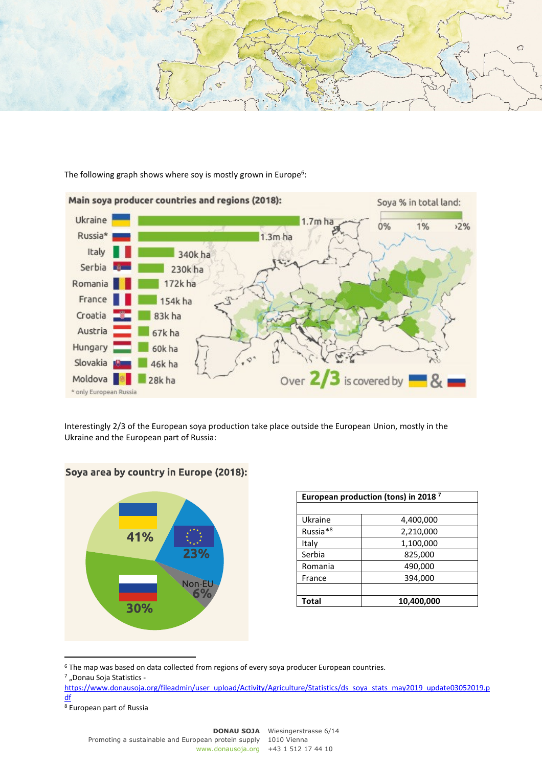

The following graph shows where soy is mostly grown in Europe<sup>6</sup>:



Interestingly 2/3 of the European soya production take place outside the European Union, mostly in the Ukraine and the European part of Russia:



|  |  |  | Soya area by country in Europe (2018): |  |
|--|--|--|----------------------------------------|--|
|--|--|--|----------------------------------------|--|

| European production (tons) in 2018 <sup>7</sup> |            |  |  |
|-------------------------------------------------|------------|--|--|
|                                                 |            |  |  |
| Ukraine                                         | 4,400,000  |  |  |
| Russia <sup>*8</sup>                            | 2,210,000  |  |  |
| Italy                                           | 1,100,000  |  |  |
| Serbia                                          | 825,000    |  |  |
| Romania                                         | 490,000    |  |  |
| France                                          | 394,000    |  |  |
|                                                 |            |  |  |
| Total                                           | 10,400,000 |  |  |

<sup>&</sup>lt;sup>6</sup> The map was based on data collected from regions of every soya producer European countries.

<sup>&</sup>lt;sup>7</sup> "Donau Soja Statistics -

https://www.donausoja.org/fileadmin/user\_upload/Activity/Agriculture/Statistics/ds\_soya\_stats\_may2019\_update03052019.p df

<sup>8</sup> European part of Russia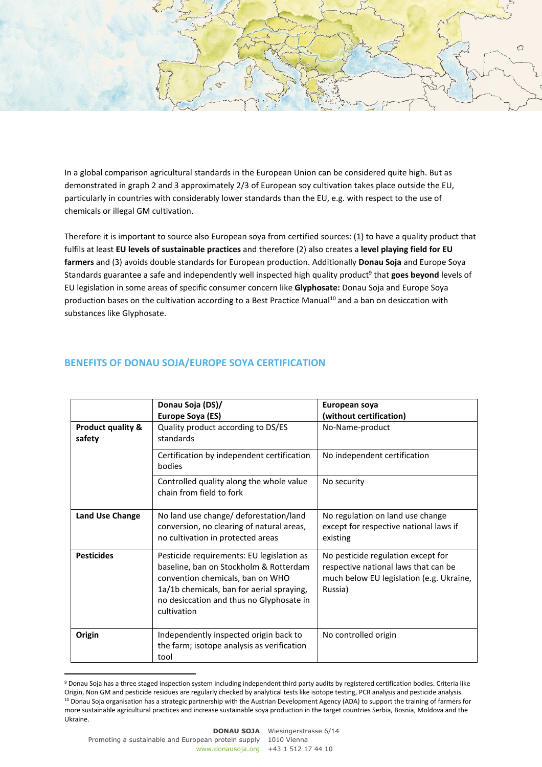

In a global comparison agricultural standards in the European Union can be considered quite high. But as demonstrated in graph 2 and 3 approximately 2/3 of European soy cultivation takes place outside the EU, particularly in countries with considerably lower standards than the EU, e.g. with respect to the use of chemicals or illegal GM cultivation.

Therefore it is important to source also European soya from certified sources: (1) to have a quality product that fulfils at least **EU levels of sustainable practices** and therefore (2) also creates a **level playing field for EU farmers** and (3) avoids double standards for European production. Additionally **Donau Soja** and Europe Soya Standards guarantee a safe and independently well inspected high quality product<sup>9</sup> that goes beyond levels of EU legislation in some areas of specific consumer concern like **Glyphosate:** Donau Soja and Europe Soya production bases on the cultivation according to a Best Practice Manual<sup>10</sup> and a ban on desiccation with substances like Glyphosate.

## **BENEFITS OF DONAU SOJA/EUROPE SOYA CERTIFICATION**

|                                        | Donau Soja (DS)/<br><b>Europe Soya (ES)</b>                                                                                                                                                                                     | European soya<br>(without certification)                                                                                          |
|----------------------------------------|---------------------------------------------------------------------------------------------------------------------------------------------------------------------------------------------------------------------------------|-----------------------------------------------------------------------------------------------------------------------------------|
| <b>Product quality &amp;</b><br>safety | Quality product according to DS/ES<br>standards                                                                                                                                                                                 | No-Name-product                                                                                                                   |
|                                        | Certification by independent certification<br>bodies                                                                                                                                                                            | No independent certification                                                                                                      |
|                                        | Controlled quality along the whole value<br>chain from field to fork                                                                                                                                                            | No security                                                                                                                       |
| <b>Land Use Change</b>                 | No land use change/ deforestation/land<br>conversion, no clearing of natural areas,<br>no cultivation in protected areas                                                                                                        | No regulation on land use change<br>except for respective national laws if<br>existing                                            |
| <b>Pesticides</b>                      | Pesticide requirements: EU legislation as<br>baseline, ban on Stockholm & Rotterdam<br>convention chemicals, ban on WHO<br>1a/1b chemicals, ban for aerial spraying,<br>no desiccation and thus no Glyphosate in<br>cultivation | No pesticide regulation except for<br>respective national laws that can be<br>much below EU legislation (e.g. Ukraine,<br>Russia) |
| Origin                                 | Independently inspected origin back to<br>the farm; isotope analysis as verification<br>tool                                                                                                                                    | No controlled origin                                                                                                              |

<sup>&</sup>lt;sup>9</sup> Donau Soja has a three staged inspection system including independent third party audits by registered certification bodies. Criteria like Origin, Non GM and pesticide residues are regularly checked by analytical tests like isotope testing, PCR analysis and pesticide analysis. <sup>10</sup> Donau Soja organisation has a strategic partnership with the Austrian Development Agency (ADA) to support the training of farmers for more sustainable agricultural practices and increase sustainable soya production in the target countries Serbia, Bosnia, Moldova and the Ukraine.